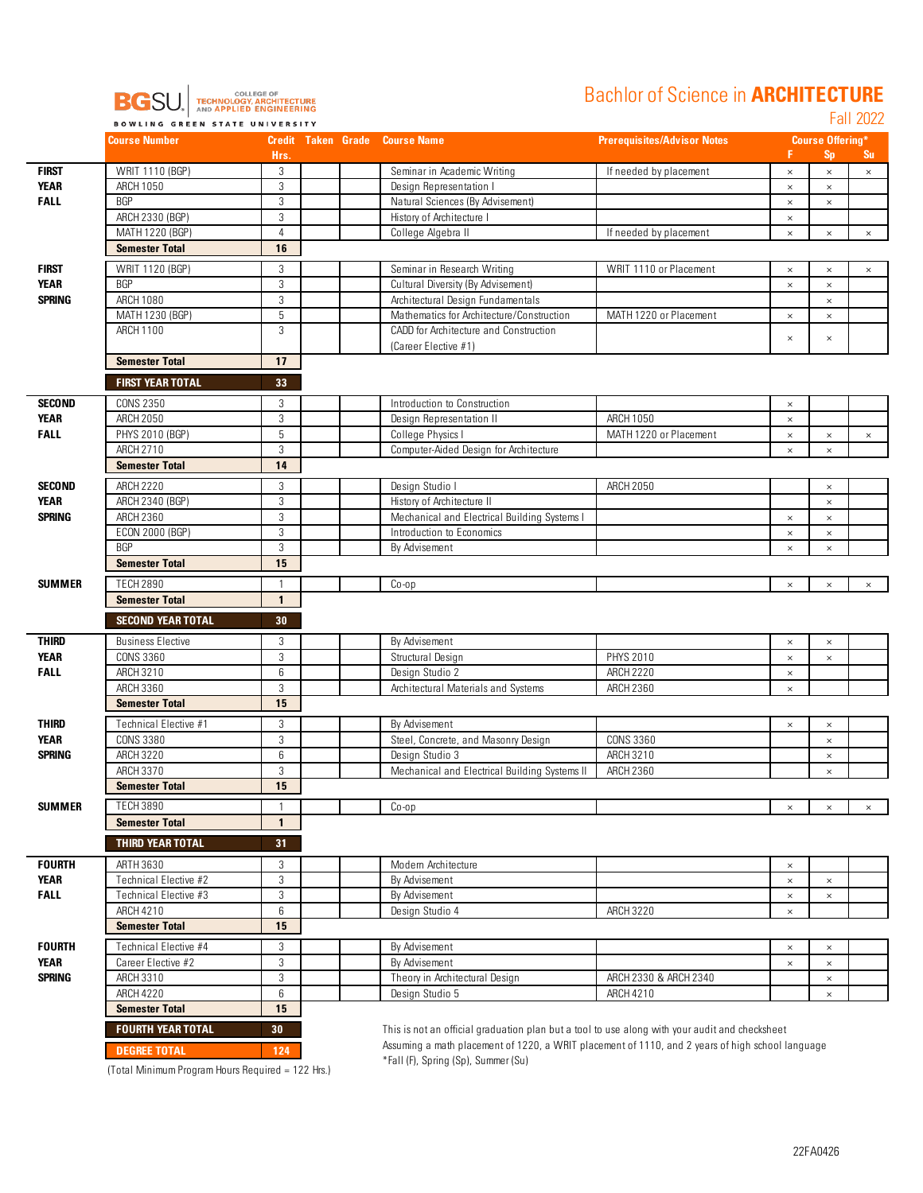

## Bachlor of Science in **ARCHITECTURE**

Fall 2022

|               | <b>Course Number</b>     |                | <b>Credit Taken Grade Course Name</b> |                                                                                                  | <b>Prerequisites/Advisor Notes</b> |          | <b>Course Offering*</b> |           |
|---------------|--------------------------|----------------|---------------------------------------|--------------------------------------------------------------------------------------------------|------------------------------------|----------|-------------------------|-----------|
|               |                          | Hrs.           |                                       |                                                                                                  |                                    | F.       | <b>Sp</b>               | <b>Su</b> |
| <b>FIRST</b>  | WRIT 1110 (BGP)          | 3              |                                       | Seminar in Academic Writing                                                                      | If needed by placement             | $\times$ | $\times$                | $\times$  |
| <b>YEAR</b>   | ARCH 1050                | 3              |                                       | Design Representation I                                                                          |                                    | $\times$ | $\times$                |           |
| <b>FALL</b>   | <b>BGP</b>               | 3              |                                       | Natural Sciences (By Advisement)                                                                 |                                    | $\times$ | $\times$                |           |
|               | ARCH 2330 (BGP)          | 3              |                                       | History of Architecture I                                                                        |                                    | $\times$ |                         |           |
|               | MATH 1220 (BGP)          | $\overline{4}$ |                                       | College Algebra II                                                                               | If needed by placement             | $\times$ | $\times$                | $\times$  |
|               | <b>Semester Total</b>    | 16             |                                       |                                                                                                  |                                    |          |                         |           |
| <b>FIRST</b>  | WRIT 1120 (BGP)          | 3              |                                       | Seminar in Research Writing                                                                      | WRIT 1110 or Placement             | $\times$ | $\times$                | $\times$  |
| <b>YEAR</b>   | <b>BGP</b>               | 3              |                                       | Cultural Diversity (By Advisement)                                                               |                                    | $\times$ | $\times$                |           |
| <b>SPRING</b> | ARCH 1080                | 3              |                                       | Architectural Design Fundamentals                                                                |                                    |          | $\times$                |           |
|               | MATH 1230 (BGP)          | 5              |                                       | Mathematics for Architecture/Construction                                                        | MATH 1220 or Placement             | $\times$ | $\times$                |           |
|               | ARCH 1100                | 3              |                                       | CADD for Architecture and Construction                                                           |                                    |          |                         |           |
|               |                          |                |                                       | (Career Elective #1)                                                                             |                                    | $\times$ | $\times$                |           |
|               | <b>Semester Total</b>    | 17             |                                       |                                                                                                  |                                    |          |                         |           |
|               |                          |                |                                       |                                                                                                  |                                    |          |                         |           |
|               | <b>FIRST YEAR TOTAL</b>  | 33             |                                       |                                                                                                  |                                    |          |                         |           |
| <b>SECOND</b> | <b>CONS 2350</b>         | 3              |                                       | Introduction to Construction                                                                     |                                    | $\times$ |                         |           |
| <b>YEAR</b>   | <b>ARCH 2050</b>         | 3              |                                       | Design Representation II                                                                         | ARCH 1050                          | $\times$ |                         |           |
| <b>FALL</b>   | PHYS 2010 (BGP)          | 5              |                                       | College Physics I                                                                                | MATH 1220 or Placement             | $\times$ | $\times$                | $\times$  |
|               | ARCH 2710                | 3              |                                       | Computer-Aided Design for Architecture                                                           |                                    | $\times$ | ×                       |           |
|               | <b>Semester Total</b>    | 14             |                                       |                                                                                                  |                                    |          |                         |           |
|               |                          |                |                                       |                                                                                                  |                                    |          |                         |           |
| <b>SECOND</b> | <b>ARCH 2220</b>         | 3              |                                       | Design Studio I                                                                                  | <b>ARCH 2050</b>                   |          | $\times$                |           |
| YEAR          | ARCH 2340 (BGP)          | 3              |                                       | History of Architecture II                                                                       |                                    |          | $\times$                |           |
| <b>SPRING</b> | ARCH 2360                | 3              |                                       | Mechanical and Electrical Building Systems I                                                     |                                    | $\times$ | $\times$                |           |
|               | ECON 2000 (BGP)          | 3              |                                       | Introduction to Economics                                                                        |                                    | $\times$ | $\times$                |           |
|               | <b>BGP</b>               | 3              |                                       | By Advisement                                                                                    |                                    | $\times$ | $\times$                |           |
|               | <b>Semester Total</b>    | 15             |                                       |                                                                                                  |                                    |          |                         |           |
| <b>SUMMER</b> | <b>TECH 2890</b>         | $\mathbf{1}$   |                                       | $Co$ -op                                                                                         |                                    | $\times$ | $\times$                | $\times$  |
|               | <b>Semester Total</b>    | $\mathbf{1}$   |                                       |                                                                                                  |                                    |          |                         |           |
|               | <b>SECOND YEAR TOTAL</b> | 30             |                                       |                                                                                                  |                                    |          |                         |           |
|               |                          |                |                                       |                                                                                                  |                                    |          |                         |           |
| <b>THIRD</b>  | <b>Business Elective</b> | 3              |                                       | By Advisement                                                                                    |                                    | $\times$ | $\times$                |           |
| <b>YEAR</b>   | <b>CONS 3360</b>         | 3              |                                       | Structural Design                                                                                | PHYS 2010                          | $\times$ | $\times$                |           |
| <b>FALL</b>   | ARCH 3210                | 6              |                                       | Design Studio 2                                                                                  | <b>ARCH 2220</b>                   | $\times$ |                         |           |
|               | ARCH 3360                | 3              |                                       | Architectural Materials and Systems                                                              | ARCH 2360                          | $\times$ |                         |           |
|               | <b>Semester Total</b>    | 15             |                                       |                                                                                                  |                                    |          |                         |           |
| <b>THIRD</b>  | Technical Elective #1    | 3              |                                       | By Advisement                                                                                    |                                    | $\times$ | $\times$                |           |
| <b>YEAR</b>   | <b>CONS 3380</b>         | 3              |                                       | Steel, Concrete, and Masonry Design                                                              | CONS 3360                          |          | $\times$                |           |
| <b>SPRING</b> | ARCH 3220                | 6              |                                       | Design Studio 3                                                                                  | <b>ARCH 3210</b>                   |          | $\times$                |           |
|               | ARCH 3370                | 3              |                                       | Mechanical and Electrical Building Systems II                                                    | <b>ARCH 2360</b>                   |          | $\times$                |           |
|               | <b>Semester Total</b>    | 15             |                                       |                                                                                                  |                                    |          |                         |           |
|               |                          |                |                                       |                                                                                                  |                                    |          |                         |           |
| SUMMER        | <b>TECH 3890</b>         | $\mathbf{1}$   |                                       | Co-op                                                                                            |                                    | $\times$ | $\times$                | $\times$  |
|               | <b>Semester Total</b>    | $\mathbf{1}$   |                                       |                                                                                                  |                                    |          |                         |           |
|               | <b>THIRD YEAR TOTAL</b>  | 31             |                                       |                                                                                                  |                                    |          |                         |           |
| <b>FOURTH</b> | ARTH 3630                | 3              |                                       | Modern Architecture                                                                              |                                    |          |                         |           |
| <b>YEAR</b>   | Technical Elective #2    |                |                                       |                                                                                                  |                                    | $\times$ |                         |           |
|               |                          | 3              |                                       | By Advisement                                                                                    |                                    | $\times$ | $\times$                |           |
| <b>FALL</b>   | Technical Elective #3    | 3              |                                       | By Advisement                                                                                    |                                    | $\times$ | $\times$                |           |
|               | ARCH 4210                | 6              |                                       | Design Studio 4                                                                                  | <b>ARCH 3220</b>                   | $\times$ |                         |           |
|               | <b>Semester Total</b>    | 15             |                                       |                                                                                                  |                                    |          |                         |           |
| <b>FOURTH</b> | Technical Elective #4    | 3              |                                       | By Advisement                                                                                    |                                    | $\times$ | $\times$                |           |
| <b>YEAR</b>   | Career Elective #2       | 3              |                                       | By Advisement                                                                                    |                                    | $\times$ | $\times$                |           |
| <b>SPRING</b> | ARCH 3310                | 3              |                                       | Theory in Architectural Design                                                                   | ARCH 2330 & ARCH 2340              |          | $\times$                |           |
|               | <b>ARCH 4220</b>         | 6              |                                       | Design Studio 5                                                                                  | ARCH 4210                          |          | $\times$                |           |
|               | <b>Semester Total</b>    | 15             |                                       |                                                                                                  |                                    |          |                         |           |
|               |                          |                |                                       |                                                                                                  |                                    |          |                         |           |
|               | <b>FOURTH YEAR TOTAL</b> | 30             |                                       | This is not an official graduation plan but a tool to use along with your audit and checksheet   |                                    |          |                         |           |
|               | <b>DEGREE TOTAL</b>      | 124            |                                       | Assuming a math placement of 1220, a WRIT placement of 1110, and 2 years of high school language |                                    |          |                         |           |

\*Fall (F), Spring (Sp), Summer (Su) (Total Minimum Program Hours Required = 122 Hrs.)

\*Fall (F), Spring (Sp), Summer (Su)